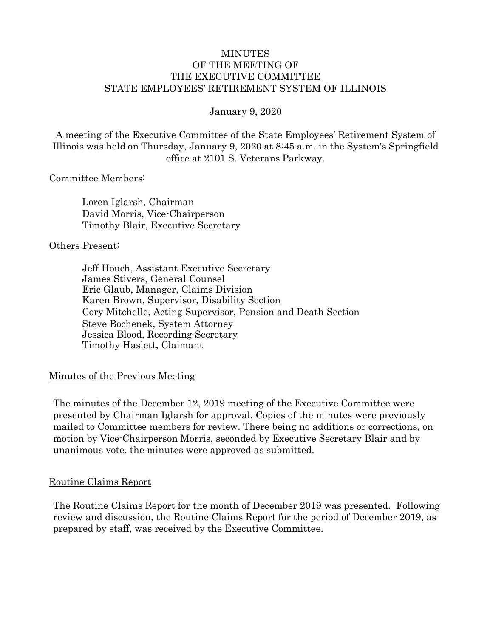## MINUTES OF THE MEETING OF THE EXECUTIVE COMMITTEE STATE EMPLOYEES' RETIREMENT SYSTEM OF ILLINOIS

January 9, 2020

A meeting of the Executive Committee of the State Employees' Retirement System of Illinois was held on Thursday, January 9, 2020 at 8:45 a.m. in the System's Springfield office at 2101 S. Veterans Parkway.

#### Committee Members:

Loren Iglarsh, Chairman David Morris, Vice-Chairperson Timothy Blair, Executive Secretary

#### Others Present:

Jeff Houch, Assistant Executive Secretary James Stivers, General Counsel Eric Glaub, Manager, Claims Division Karen Brown, Supervisor, Disability Section Cory Mitchelle, Acting Supervisor, Pension and Death Section Steve Bochenek, System Attorney Jessica Blood, Recording Secretary Timothy Haslett, Claimant

# Minutes of the Previous Meeting

The minutes of the December 12, 2019 meeting of the Executive Committee were presented by Chairman Iglarsh for approval. Copies of the minutes were previously mailed to Committee members for review. There being no additions or corrections, on motion by Vice-Chairperson Morris, seconded by Executive Secretary Blair and by unanimous vote, the minutes were approved as submitted.

# Routine Claims Report

The Routine Claims Report for the month of December 2019 was presented. Following review and discussion, the Routine Claims Report for the period of December 2019, as prepared by staff, was received by the Executive Committee.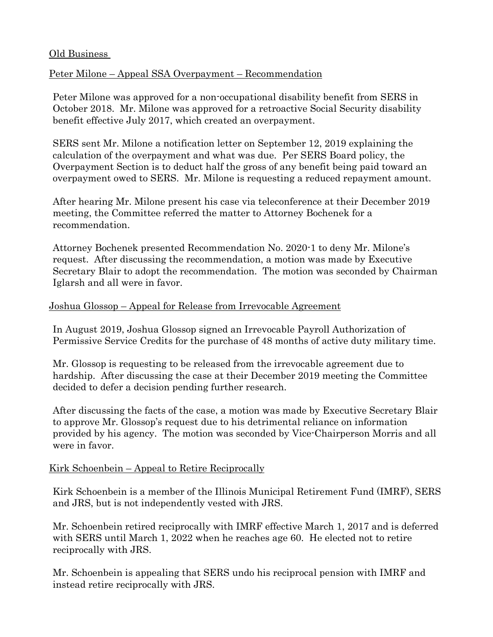# Old Business

# Peter Milone – Appeal SSA Overpayment – Recommendation

Peter Milone was approved for a non-occupational disability benefit from SERS in October 2018. Mr. Milone was approved for a retroactive Social Security disability benefit effective July 2017, which created an overpayment.

SERS sent Mr. Milone a notification letter on September 12, 2019 explaining the calculation of the overpayment and what was due. Per SERS Board policy, the Overpayment Section is to deduct half the gross of any benefit being paid toward an overpayment owed to SERS. Mr. Milone is requesting a reduced repayment amount.

After hearing Mr. Milone present his case via teleconference at their December 2019 meeting, the Committee referred the matter to Attorney Bochenek for a recommendation.

Attorney Bochenek presented Recommendation No. 2020-1 to deny Mr. Milone's request. After discussing the recommendation, a motion was made by Executive Secretary Blair to adopt the recommendation. The motion was seconded by Chairman Iglarsh and all were in favor.

# Joshua Glossop – Appeal for Release from Irrevocable Agreement

In August 2019, Joshua Glossop signed an Irrevocable Payroll Authorization of Permissive Service Credits for the purchase of 48 months of active duty military time.

Mr. Glossop is requesting to be released from the irrevocable agreement due to hardship. After discussing the case at their December 2019 meeting the Committee decided to defer a decision pending further research.

After discussing the facts of the case, a motion was made by Executive Secretary Blair to approve Mr. Glossop's request due to his detrimental reliance on information provided by his agency. The motion was seconded by Vice-Chairperson Morris and all were in favor.

# Kirk Schoenbein – Appeal to Retire Reciprocally

Kirk Schoenbein is a member of the Illinois Municipal Retirement Fund (IMRF), SERS and JRS, but is not independently vested with JRS.

Mr. Schoenbein retired reciprocally with IMRF effective March 1, 2017 and is deferred with SERS until March 1, 2022 when he reaches age 60. He elected not to retire reciprocally with JRS.

Mr. Schoenbein is appealing that SERS undo his reciprocal pension with IMRF and instead retire reciprocally with JRS.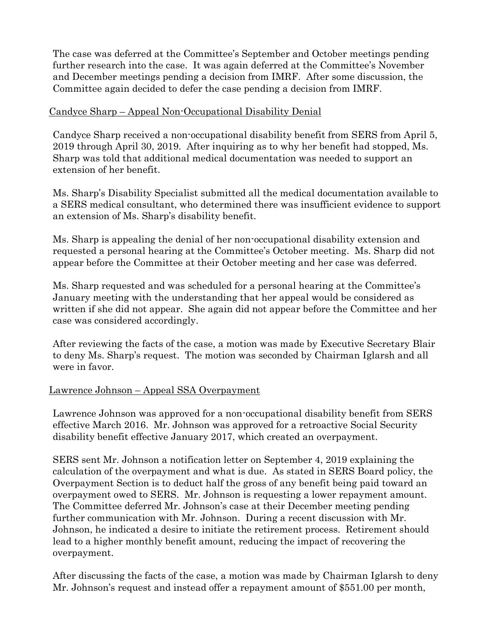The case was deferred at the Committee's September and October meetings pending further research into the case. It was again deferred at the Committee's November and December meetings pending a decision from IMRF. After some discussion, the Committee again decided to defer the case pending a decision from IMRF.

# Candyce Sharp – Appeal Non-Occupational Disability Denial

Candyce Sharp received a non-occupational disability benefit from SERS from April 5, 2019 through April 30, 2019. After inquiring as to why her benefit had stopped, Ms. Sharp was told that additional medical documentation was needed to support an extension of her benefit.

Ms. Sharp's Disability Specialist submitted all the medical documentation available to a SERS medical consultant, who determined there was insufficient evidence to support an extension of Ms. Sharp's disability benefit.

Ms. Sharp is appealing the denial of her non-occupational disability extension and requested a personal hearing at the Committee's October meeting. Ms. Sharp did not appear before the Committee at their October meeting and her case was deferred.

Ms. Sharp requested and was scheduled for a personal hearing at the Committee's January meeting with the understanding that her appeal would be considered as written if she did not appear. She again did not appear before the Committee and her case was considered accordingly.

After reviewing the facts of the case, a motion was made by Executive Secretary Blair to deny Ms. Sharp's request. The motion was seconded by Chairman Iglarsh and all were in favor.

# Lawrence Johnson – Appeal SSA Overpayment

Lawrence Johnson was approved for a non-occupational disability benefit from SERS effective March 2016. Mr. Johnson was approved for a retroactive Social Security disability benefit effective January 2017, which created an overpayment.

SERS sent Mr. Johnson a notification letter on September 4, 2019 explaining the calculation of the overpayment and what is due. As stated in SERS Board policy, the Overpayment Section is to deduct half the gross of any benefit being paid toward an overpayment owed to SERS. Mr. Johnson is requesting a lower repayment amount. The Committee deferred Mr. Johnson's case at their December meeting pending further communication with Mr. Johnson. During a recent discussion with Mr. Johnson, he indicated a desire to initiate the retirement process. Retirement should lead to a higher monthly benefit amount, reducing the impact of recovering the overpayment.

After discussing the facts of the case, a motion was made by Chairman Iglarsh to deny Mr. Johnson's request and instead offer a repayment amount of \$551.00 per month,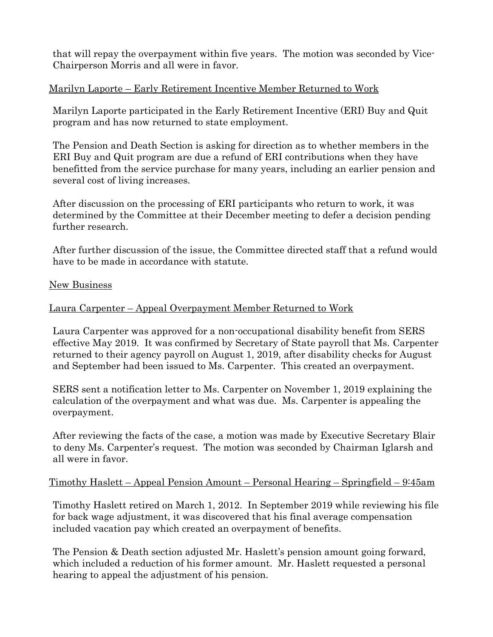that will repay the overpayment within five years. The motion was seconded by Vice-Chairperson Morris and all were in favor.

# Marilyn Laporte – Early Retirement Incentive Member Returned to Work

Marilyn Laporte participated in the Early Retirement Incentive (ERI) Buy and Quit program and has now returned to state employment.

The Pension and Death Section is asking for direction as to whether members in the ERI Buy and Quit program are due a refund of ERI contributions when they have benefitted from the service purchase for many years, including an earlier pension and several cost of living increases.

After discussion on the processing of ERI participants who return to work, it was determined by the Committee at their December meeting to defer a decision pending further research.

After further discussion of the issue, the Committee directed staff that a refund would have to be made in accordance with statute.

#### New Business

# Laura Carpenter – Appeal Overpayment Member Returned to Work

Laura Carpenter was approved for a non-occupational disability benefit from SERS effective May 2019. It was confirmed by Secretary of State payroll that Ms. Carpenter returned to their agency payroll on August 1, 2019, after disability checks for August and September had been issued to Ms. Carpenter. This created an overpayment.

SERS sent a notification letter to Ms. Carpenter on November 1, 2019 explaining the calculation of the overpayment and what was due. Ms. Carpenter is appealing the overpayment.

After reviewing the facts of the case, a motion was made by Executive Secretary Blair to deny Ms. Carpenter's request. The motion was seconded by Chairman Iglarsh and all were in favor.

# Timothy Haslett – Appeal Pension Amount – Personal Hearing – Springfield – 9:45am

Timothy Haslett retired on March 1, 2012. In September 2019 while reviewing his file for back wage adjustment, it was discovered that his final average compensation included vacation pay which created an overpayment of benefits.

The Pension & Death section adjusted Mr. Haslett's pension amount going forward, which included a reduction of his former amount. Mr. Haslett requested a personal hearing to appeal the adjustment of his pension.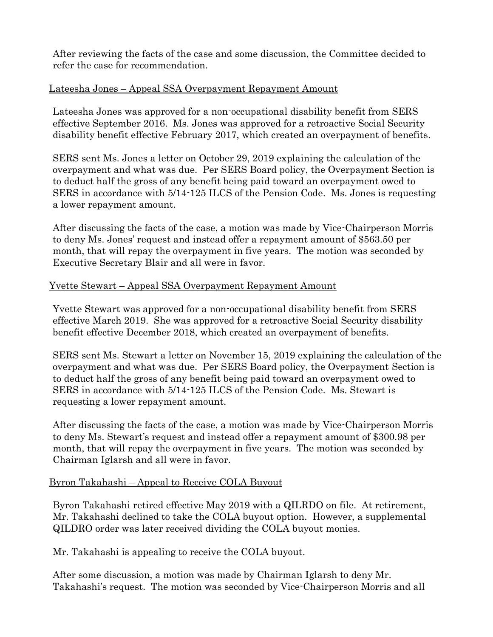After reviewing the facts of the case and some discussion, the Committee decided to refer the case for recommendation.

# Lateesha Jones – Appeal SSA Overpayment Repayment Amount

Lateesha Jones was approved for a non-occupational disability benefit from SERS effective September 2016. Ms. Jones was approved for a retroactive Social Security disability benefit effective February 2017, which created an overpayment of benefits.

SERS sent Ms. Jones a letter on October 29, 2019 explaining the calculation of the overpayment and what was due. Per SERS Board policy, the Overpayment Section is to deduct half the gross of any benefit being paid toward an overpayment owed to SERS in accordance with 5/14-125 ILCS of the Pension Code. Ms. Jones is requesting a lower repayment amount.

After discussing the facts of the case, a motion was made by Vice-Chairperson Morris to deny Ms. Jones' request and instead offer a repayment amount of \$563.50 per month, that will repay the overpayment in five years. The motion was seconded by Executive Secretary Blair and all were in favor.

# Yvette Stewart – Appeal SSA Overpayment Repayment Amount

Yvette Stewart was approved for a non-occupational disability benefit from SERS effective March 2019. She was approved for a retroactive Social Security disability benefit effective December 2018, which created an overpayment of benefits.

SERS sent Ms. Stewart a letter on November 15, 2019 explaining the calculation of the overpayment and what was due. Per SERS Board policy, the Overpayment Section is to deduct half the gross of any benefit being paid toward an overpayment owed to SERS in accordance with 5/14-125 ILCS of the Pension Code. Ms. Stewart is requesting a lower repayment amount.

After discussing the facts of the case, a motion was made by Vice-Chairperson Morris to deny Ms. Stewart's request and instead offer a repayment amount of \$300.98 per month, that will repay the overpayment in five years. The motion was seconded by Chairman Iglarsh and all were in favor.

# Byron Takahashi – Appeal to Receive COLA Buyout

Byron Takahashi retired effective May 2019 with a QILRDO on file. At retirement, Mr. Takahashi declined to take the COLA buyout option. However, a supplemental QILDRO order was later received dividing the COLA buyout monies.

Mr. Takahashi is appealing to receive the COLA buyout.

After some discussion, a motion was made by Chairman Iglarsh to deny Mr. Takahashi's request. The motion was seconded by Vice-Chairperson Morris and all